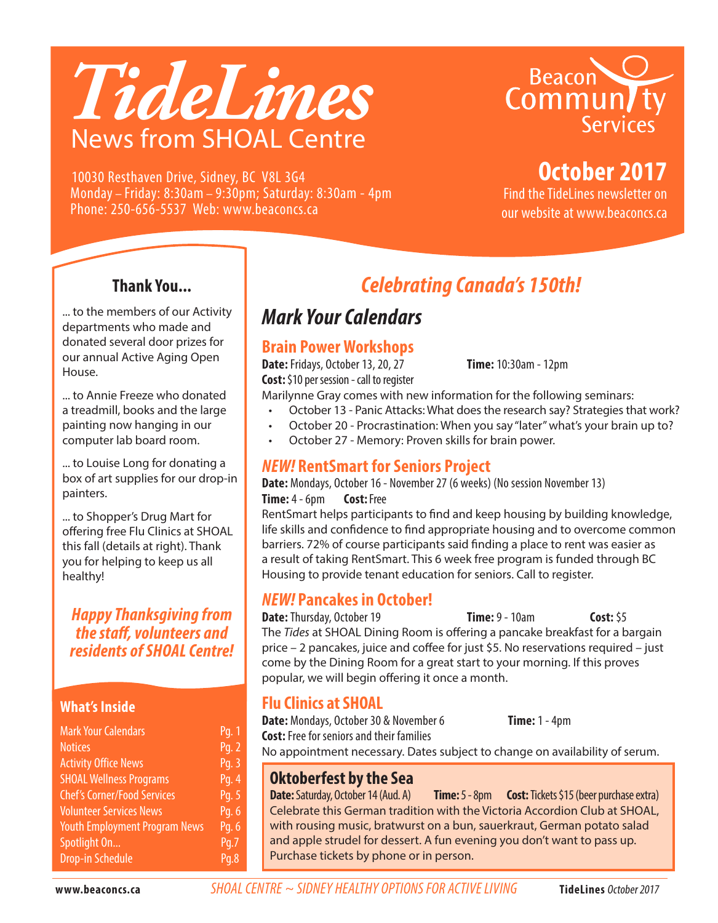# *TideLines* News from SHOAL Centre



**October 2017**

10030 Resthaven Drive, Sidney, BC V8L 3G4 Monday – Friday: 8:30am – 9:30pm; Saturday: 8:30am - 4pm Phone: 250-656-5537 Web: www.beaconcs.ca

Find the TideLines newsletter on our website at www.beaconcs.ca

### **Thank You...**

... to the members of our Activity departments who made and donated several door prizes for our annual Active Aging Open House.

... to Annie Freeze who donated a treadmill, books and the large painting now hanging in our computer lab board room.

... to Louise Long for donating a box of art supplies for our drop-in painters.

... to Shopper's Drug Mart for offering free Flu Clinics at SHOAL this fall (details at right). Thank you for helping to keep us all healthy!

*Happy Thanksgiving from the staff, volunteers and residents of SHOAL Centre!*

### **What's Inside**

| <b>Mark Your Calendars</b>           | Pg. 1             |
|--------------------------------------|-------------------|
| <b>Notices</b>                       | Pq. 2             |
| <b>Activity Office News</b>          | Pg. 3             |
| <b>SHOAL Wellness Programs</b>       | Pg. 4             |
| <b>Chef's Corner/Food Services</b>   | Pg. 5             |
| <b>Volunteer Services News</b>       | Pg. 6             |
| <b>Youth Employment Program News</b> | Pq. 6             |
| Spotlight On                         | $\overline{Pq.7}$ |
| <b>Drop-in Schedule</b>              | Pq.8              |

# *Celebrating Canada's 150th!*

# *Mark Your Calendars*

### **Brain Power Workshops**

**Date:** Fridays, October 13, 20, 27 **Time:** 10:30am - 12pm **Cost:** \$10 per session - call to register

Marilynne Gray comes with new information for the following seminars:

- October 13 Panic Attacks: What does the research say? Strategies that work?
- • October 20 Procrastination: When you say "later" what's your brain up to?
- October 27 Memory: Proven skills for brain power.

### *NEW!* **RentSmart for Seniors Project**

**Date:** Mondays, October 16 - November 27 (6 weeks) (No session November 13) **Time:** 4 - 6pm **Cost:** Free

RentSmart helps participants to find and keep housing by building knowledge, life skills and confidence to find appropriate housing and to overcome common barriers. 72% of course participants said finding a place to rent was easier as a result of taking RentSmart. This 6 week free program is funded through BC Housing to provide tenant education for seniors. Call to register.

### *NEW!* **Pancakes in October!**

**Date:** Thursday, October 19 **Time:** 9 - 10am **Cost:** \$5 The *Tides* at SHOAL Dining Room is offering a pancake breakfast for a bargain price – 2 pancakes, juice and coffee for just \$5. No reservations required – just come by the Dining Room for a great start to your morning. If this proves popular, we will begin offering it once a month.

### **Flu Clinics at SHOAL**

**Date:** Mondays, October 30 & November 6 **Time:** 1 - 4pm **Cost:** Free for seniors and their families No appointment necessary. Dates subject to change on availability of serum.

### **Oktoberfest by the Sea**

**Date:** Saturday, October 14 (Aud. A) **Time:** 5 - 8pm **Cost:** Tickets \$15 (beer purchase extra) Celebrate this German tradition with the Victoria Accordion Club at SHOAL, with rousing music, bratwurst on a bun, sauerkraut, German potato salad and apple strudel for dessert. A fun evening you don't want to pass up. Purchase tickets by phone or in person.

**www.beaconcs.ca** *SHOAL CENTRE ~ SIDNEY HEALTHY OPTIONS FOR ACTIVE LIVING* **TideLines** October 2017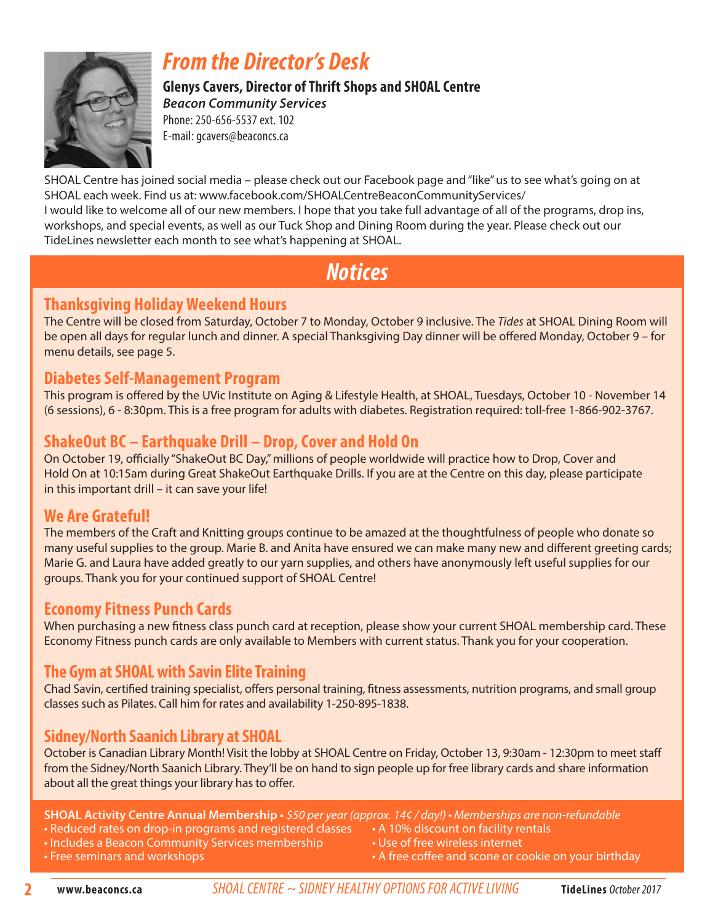

# *From the Director's Desk*

**Glenys Cavers, Director of Thrift Shops and SHOAL Centre**  *Beacon Community Services* Phone: 250-656-5537 ext. 102 E-mail: gcavers@beaconcs.ca

SHOAL Centre has joined social media – please check out our Facebook page and "like" us to see what's going on at SHOAL each week. Find us at: www.facebook.com/SHOALCentreBeaconCommunityServices/ I would like to welcome all of our new members. I hope that you take full advantage of all of the programs, drop ins, workshops, and special events, as well as our Tuck Shop and Dining Room during the year. Please check out our TideLines newsletter each month to see what's happening at SHOAL.

# *Notices*

### **Thanksgiving Holiday Weekend Hours**

The Centre will be closed from Saturday, October 7 to Monday, October 9 inclusive. The *Tides* at SHOAL Dining Room will be open all days for regular lunch and dinner. A special Thanksgiving Day dinner will be offered Monday, October 9 – for menu details, see page 5.

### **Diabetes Self-Management Program**

This program is offered by the UVic Institute on Aging & Lifestyle Health, at SHOAL, Tuesdays, October 10 - November 14 (6 sessions), 6 - 8:30pm. This is a free program for adults with diabetes. Registration required: toll-free 1-866-902-3767.

### **ShakeOut BC – Earthquake Drill – Drop, Cover and Hold On**

On October 19, officially "ShakeOut BC Day," millions of people worldwide will practice how to Drop, Cover and Hold On at 10:15am during Great ShakeOut Earthquake Drills. If you are at the Centre on this day, please participate in this important drill – it can save your life!

### **We Are Grateful!**

The members of the Craft and Knitting groups continue to be amazed at the thoughtfulness of people who donate so many useful supplies to the group. Marie B. and Anita have ensured we can make many new and different greeting cards; Marie G. and Laura have added greatly to our yarn supplies, and others have anonymously left useful supplies for our groups. Thank you for your continued support of SHOAL Centre!

### **Economy Fitness Punch Cards**

When purchasing a new fitness class punch card at reception, please show your current SHOAL membership card. These Economy Fitness punch cards are only available to Members with current status. Thank you for your cooperation.

### **The Gym at SHOAL with Savin Elite Training**

Chad Savin, certified training specialist, offers personal training, fitness assessments, nutrition programs, and small group classes such as Pilates. Call him for rates and availability 1-250-895-1838.

### **Sidney/North Saanich Library at SHOAL**

October is Canadian Library Month! Visit the lobby at SHOAL Centre on Friday, October 13, 9:30am - 12:30pm to meet staff from the Sidney/North Saanich Library. They'll be on hand to sign people up for free library cards and share information about all the great things your library has to offer.

**SHOAL Activity Centre Annual Membership •** \$50 per year (approx. 14¢ / day!) • Memberships are non-refundable

- Reduced rates on drop-in programs and registered classes A 10% discount on facility rentals
	-
- Includes a Beacon Community Services membership Use of free wireless internet
- 
- 
- Free seminars and workshops **by a straight of the set of the coffee and scone or cookie on your birthday**

**www.beaconcs.ca** *SHOAL CENTRE ~ SIDNEY HEALTHY OPTIONS FOR ACTIVE LIVING* **TideLines** October 2017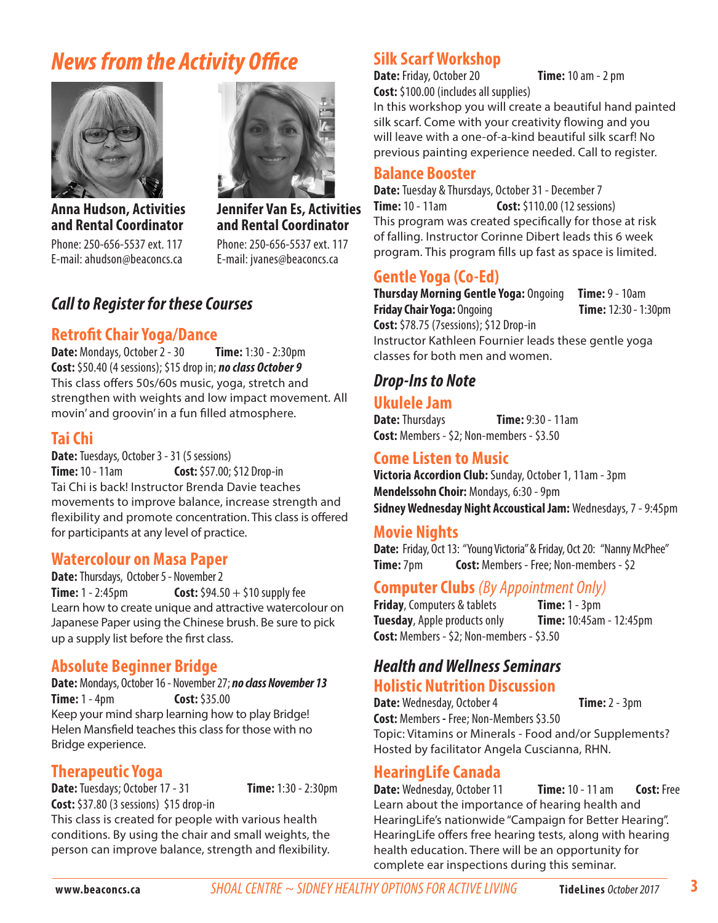# *News from the Activity Office*



**Anna Hudson, Activities and Rental Coordinator** Phone: 250-656-5537 ext. 117 E-mail: ahudson@beaconcs.ca



**Jennifer Van Es, Activities and Rental Coordinator** Phone: 250-656-5537 ext. 117 E-mail: jvanes@beaconcs.ca

### *Call to Register for these Courses*

### **Retrofit Chair Yoga/Dance**

**Date:** Mondays, October 2 - 30 **Time:** 1:30 - 2:30pm **Cost:** \$50.40 (4 sessions); \$15 drop in; *no class October 9*  This class offers 50s/60s music, yoga, stretch and strengthen with weights and low impact movement. All movin' and groovin' in a fun filled atmosphere.

### **Tai Chi**

**Date:** Tuesdays, October 3 - 31 (5 sessions) **Time:** 10 - 11am **Cost:** \$57.00; \$12 Drop-in Tai Chi is back! Instructor Brenda Davie teaches movements to improve balance, increase strength and flexibility and promote concentration. This class is offered for participants at any level of practice.

### **Watercolour on Masa Paper**

**Date:** Thursdays, October 5 - November 2 **Time:** 1 - 2:45pm **Cost:**  $$94.50 + $10$  supply fee Learn how to create unique and attractive watercolour on Japanese Paper using the Chinese brush. Be sure to pick up a supply list before the first class.

### **Absolute Beginner Bridge**

**Date:** Mondays, October 16 - November 27; *no class November 13* **Time:** 1 - 4pm **Cost:** \$35.00 Keep your mind sharp learning how to play Bridge! Helen Mansfield teaches this class for those with no

**Therapeutic Yoga**

Bridge experience.

**Date:** Tuesdays; October 17 - 31 **Time:** 1:30 - 2:30pm **Cost:** \$37.80 (3 sessions) \$15 drop-in

This class is created for people with various health conditions. By using the chair and small weights, the person can improve balance, strength and flexibility.

### **Silk Scarf Workshop**

**Date:** Friday, October 20 **Time:** 10 am - 2 pm **Cost:** \$100.00 (includes all supplies)

In this workshop you will create a beautiful hand painted silk scarf. Come with your creativity flowing and you will leave with a one-of-a-kind beautiful silk scarf! No previous painting experience needed. Call to register.

### **Balance Booster**

**Date:** Tuesday & Thursdays, October 31 - December 7 **Time:** 10 - 11am **Cost:** \$110.00 (12 sessions) This program was created specifically for those at risk of falling. Instructor Corinne Dibert leads this 6 week program. This program fills up fast as space is limited.

### **Gentle Yoga (Co-Ed)**

**Thursday Morning Gentle Yoga:** Ongoing **Time:** 9 - 10am **Friday Chair Yoga:** Ongoing **Time:** 12:30 - 1:30pm **Cost:** \$78.75 (7sessions); \$12 Drop-in

Instructor Kathleen Fournier leads these gentle yoga classes for both men and women.

### *Drop-Ins to Note*

### **Ukulele Jam**

**Date:** Thursdays **Time:** 9:30 - 11am **Cost:** Members - \$2; Non-members - \$3.50

### **Come Listen to Music**

**Victoria Accordion Club:** Sunday, October 1, 11am - 3pm **Mendelssohn Choir:** Mondays, 6:30 - 9pm **Sidney Wednesday Night Accoustical Jam:** Wednesdays, 7 - 9:45pm

### **Movie Nights**

Date: Friday, Oct 13: "Young Victoria" & Friday, Oct 20: "Nanny McPhee" **Time:** 7pm **Cost:** Members - Free: Non-members - \$2

### **Computer Clubs** *(By Appointment Only)*

**Friday**, Computers & tablets **Time:** 1 - 3pm **Tuesday**, Apple products only **Time:** 10:45am - 12:45pm **Cost:** Members - \$2; Non-members - \$3.50

### *Health and Wellness Seminars* **Holistic Nutrition Discussion**

**Date:** Wednesday, October 4 **Time:** 2 - 3pm

**Cost:** Members **-** Free; Non-Members \$3.50 Topic: Vitamins or Minerals - Food and/or Supplements? Hosted by facilitator Angela Cuscianna, RHN.

### **HearingLife Canada**

**Date:** Wednesday, October 11 **Time:** 10 - 11 am **Cost:** Free Learn about the importance of hearing health and HearingLife's nationwide "Campaign for Better Hearing". HearingLife offers free hearing tests, along with hearing health education. There will be an opportunity for complete ear inspections during this seminar.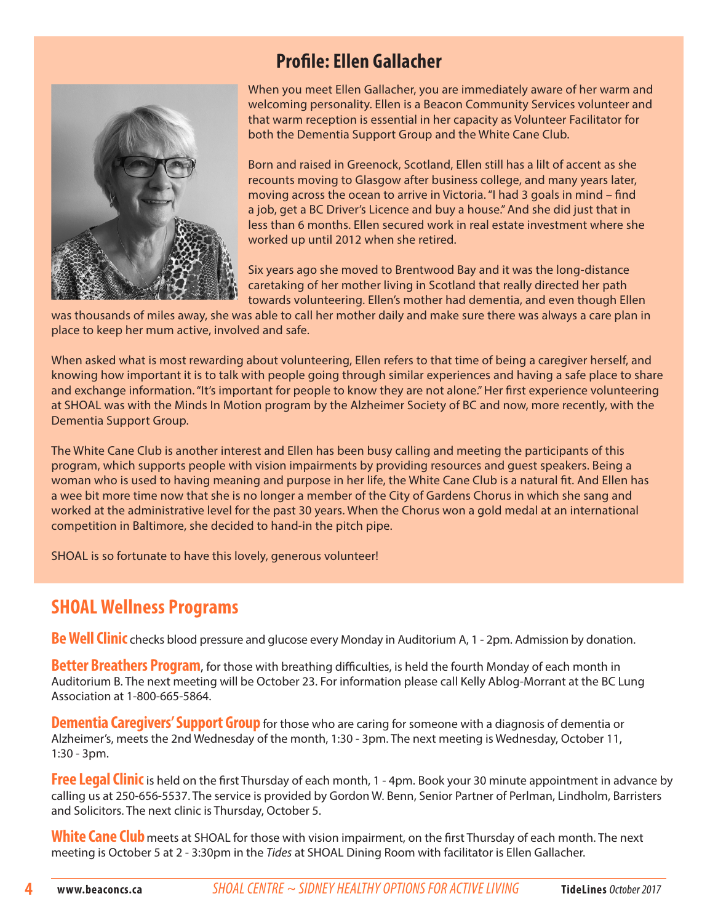### **Profile: Ellen Gallacher**



When you meet Ellen Gallacher, you are immediately aware of her warm and welcoming personality. Ellen is a Beacon Community Services volunteer and that warm reception is essential in her capacity as Volunteer Facilitator for both the Dementia Support Group and the White Cane Club.

Born and raised in Greenock, Scotland, Ellen still has a lilt of accent as she recounts moving to Glasgow after business college, and many years later, moving across the ocean to arrive in Victoria. "I had 3 goals in mind – find a job, get a BC Driver's Licence and buy a house." And she did just that in less than 6 months. Ellen secured work in real estate investment where she worked up until 2012 when she retired.

Six years ago she moved to Brentwood Bay and it was the long-distance caretaking of her mother living in Scotland that really directed her path towards volunteering. Ellen's mother had dementia, and even though Ellen

was thousands of miles away, she was able to call her mother daily and make sure there was always a care plan in place to keep her mum active, involved and safe.

When asked what is most rewarding about volunteering, Ellen refers to that time of being a caregiver herself, and knowing how important it is to talk with people going through similar experiences and having a safe place to share and exchange information. "It's important for people to know they are not alone." Her first experience volunteering at SHOAL was with the Minds In Motion program by the Alzheimer Society of BC and now, more recently, with the Dementia Support Group.

The White Cane Club is another interest and Ellen has been busy calling and meeting the participants of this program, which supports people with vision impairments by providing resources and guest speakers. Being a woman who is used to having meaning and purpose in her life, the White Cane Club is a natural fit. And Ellen has a wee bit more time now that she is no longer a member of the City of Gardens Chorus in which she sang and worked at the administrative level for the past 30 years. When the Chorus won a gold medal at an international competition in Baltimore, she decided to hand-in the pitch pipe.

SHOAL is so fortunate to have this lovely, generous volunteer!

### **SHOAL Wellness Programs**

**Be Well Clinic** checks blood pressure and glucose every Monday in Auditorium A, 1 - 2pm. Admission by donation.

**Better Breathers Program**, for those with breathing difficulties, is held the fourth Monday of each month in Auditorium B. The next meeting will be October 23. For information please call Kelly Ablog-Morrant at the BC Lung Association at 1-800-665-5864.

**Dementia Caregivers' Support Group** for those who are caring for someone with a diagnosis of dementia or Alzheimer's, meets the 2nd Wednesday of the month, 1:30 - 3pm. The next meeting is Wednesday, October 11, 1:30 - 3pm.

**Free Legal Clinic** is held on the first Thursday of each month, 1 - 4pm. Book your 30 minute appointment in advance by calling us at 250-656-5537. The service is provided by Gordon W. Benn, Senior Partner of Perlman, Lindholm, Barristers and Solicitors. The next clinic is Thursday, October 5.

White Cane Club meets at SHOAL for those with vision impairment, on the first Thursday of each month. The next meeting is October 5 at 2 - 3:30pm in the *Tides* at SHOAL Dining Room with facilitator is Ellen Gallacher.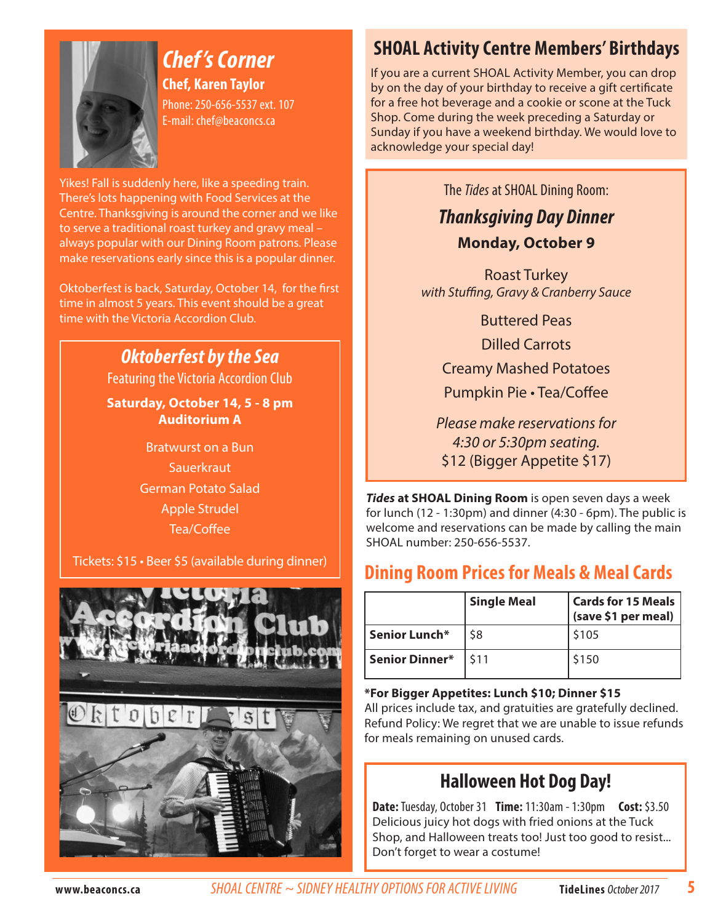

*Chef 's Corner* **Chef, Karen Taylor** Phone: 250-656-5537 ext. 107 E-mail: chef@beaconcs.ca

Yikes! Fall is suddenly here, like a speeding train. There's lots happening with Food Services at the Centre. Thanksgiving is around the corner and we like to serve a traditional roast turkey and gravy meal – always popular with our Dining Room patrons. Please make reservations early since this is a popular dinner.

Oktoberfest is back, Saturday, October 14, for the first time in almost 5 years. This event should be a great time with the Victoria Accordion Club.

### *Oktoberfest by the Sea*

Featuring the Victoria Accordion Club

**Saturday, October 14, 5 - 8 pm Auditorium A**

> Bratwurst on a Bun **Sauerkraut** German Potato Salad Apple Strudel Tea/Coffee

Tickets: \$15 • Beer \$5 (available during dinner)



# **SHOAL Activity Centre Members' Birthdays**

If you are a current SHOAL Activity Member, you can drop by on the day of your birthday to receive a gift certificate for a free hot beverage and a cookie or scone at the Tuck Shop. Come during the week preceding a Saturday or Sunday if you have a weekend birthday. We would love to acknowledge your special day!

The *Tides* at SHOAL Dining Room:

*Thanksgiving Day Dinner* **Monday, October 9**

Roast Turkey with Stuffing, Gravy & Cranberry Sauce

> Buttered Peas Dilled Carrots Creamy Mashed Potatoes Pumpkin Pie • Tea/Coffee

Please make reservations for 4:30 or 5:30pm seating. \$12 (Bigger Appetite \$17)

*Tides* **at SHOAL Dining Room** is open seven days a week for lunch (12 - 1:30pm) and dinner (4:30 - 6pm). The public is welcome and reservations can be made by calling the main SHOAL number: 250-656-5537.

## **Dining Room Prices for Meals & Meal Cards**

|                    | <b>Single Meal</b> | <b>Cards for 15 Meals</b><br>(save \$1 per meal) |
|--------------------|--------------------|--------------------------------------------------|
| Senior Lunch*      | \$8                | \$105                                            |
| Senior Dinner* 511 |                    | \$150                                            |

### **\*For Bigger Appetites: Lunch \$10; Dinner \$15**

All prices include tax, and gratuities are gratefully declined. Refund Policy: We regret that we are unable to issue refunds for meals remaining on unused cards.

# **Halloween Hot Dog Day!**

**Date:** Tuesday, October 31 **Time:** 11:30am - 1:30pm **Cost:** \$3.50 Delicious juicy hot dogs with fried onions at the Tuck Shop, and Halloween treats too! Just too good to resist... Don't forget to wear a costume!

**5**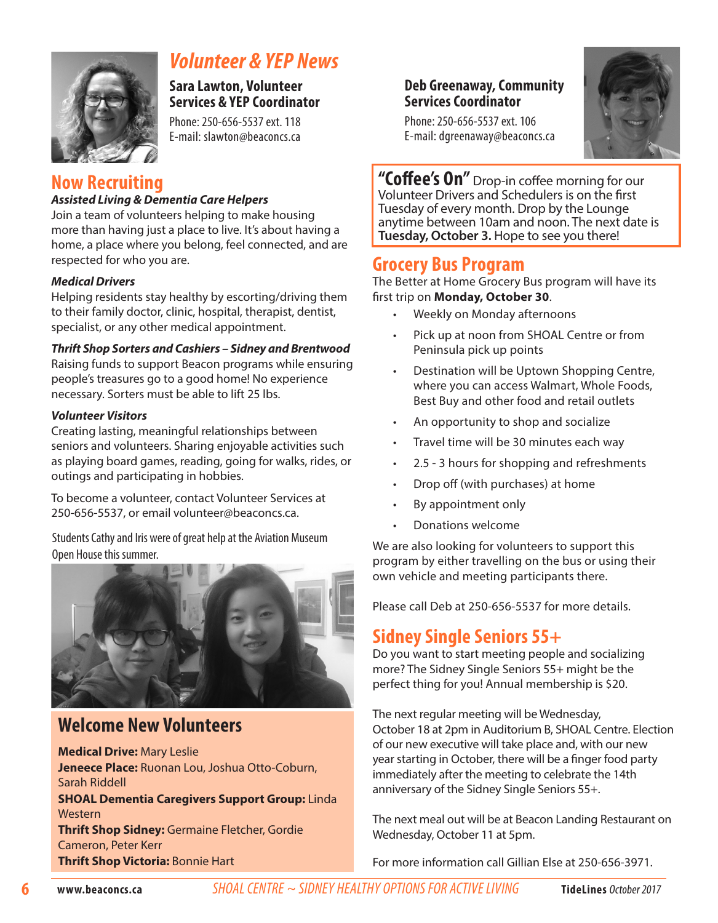

# *Volunteer & YEP News*

**Sara Lawton, Volunteer Services & YEP Coordinator** 

Phone: 250-656-5537 ext. 118 E-mail: slawton@beaconcs.ca

### **Now Recruiting**

### *Assisted Living & Dementia Care Helpers*

Join a team of volunteers helping to make housing more than having just a place to live. It's about having a home, a place where you belong, feel connected, and are respected for who you are.

### *Medical Drivers*

Helping residents stay healthy by escorting/driving them to their family doctor, clinic, hospital, therapist, dentist, specialist, or any other medical appointment.

### *Thrift Shop Sorters and Cashiers – Sidney and Brentwood*

Raising funds to support Beacon programs while ensuring people's treasures go to a good home! No experience necessary. Sorters must be able to lift 25 lbs.

### *Volunteer Visitors*

Creating lasting, meaningful relationships between seniors and volunteers. Sharing enjoyable activities such as playing board games, reading, going for walks, rides, or outings and participating in hobbies.

To become a volunteer, contact Volunteer Services at 250-656-5537, or email volunteer@beaconcs.ca.

Students Cathy and Iris were of great help at the Aviation Museum Open House this summer.



### **Welcome New Volunteers**

**Medical Drive:** Mary Leslie **Jeneece Place:** Ruonan Lou, Joshua Otto-Coburn, Sarah Riddell

**SHOAL Dementia Caregivers Support Group:** Linda **Western** 

**Thrift Shop Sidney:** Germaine Fletcher, Gordie Cameron, Peter Kerr **Thrift Shop Victoria:** Bonnie Hart

### **Deb Greenaway, Community Services Coordinator**



Phone: 250-656-5537 ext. 106 E-mail: dgreenaway@beaconcs.ca

**"Coffee's On"** Drop-in coffee morning for our Volunteer Drivers and Schedulers is on the first Tuesday of every month. Drop by the Lounge anytime between 10am and noon. The next date is **Tuesday, October 3.** Hope to see you there!

### **Grocery Bus Program**

The Better at Home Grocery Bus program will have its first trip on **Monday, October 30**.

- Weekly on Monday afternoons
- Pick up at noon from SHOAL Centre or from Peninsula pick up points
- Destination will be Uptown Shopping Centre, where you can access Walmart, Whole Foods, Best Buy and other food and retail outlets
- An opportunity to shop and socialize
- Travel time will be 30 minutes each way
- • 2.5 3 hours for shopping and refreshments
- Drop off (with purchases) at home
- By appointment only
- Donations welcome

We are also looking for volunteers to support this program by either travelling on the bus or using their own vehicle and meeting participants there.

Please call Deb at 250-656-5537 for more details.

### **Sidney Single Seniors 55+**

Do you want to start meeting people and socializing more? The Sidney Single Seniors 55+ might be the perfect thing for you! Annual membership is \$20.

The next regular meeting will be Wednesday, October 18 at 2pm in Auditorium B, SHOAL Centre. Election of our new executive will take place and, with our new year starting in October, there will be a finger food party immediately after the meeting to celebrate the 14th anniversary of the Sidney Single Seniors 55+.

The next meal out will be at Beacon Landing Restaurant on Wednesday, October 11 at 5pm.

For more information call Gillian Else at 250-656-3971.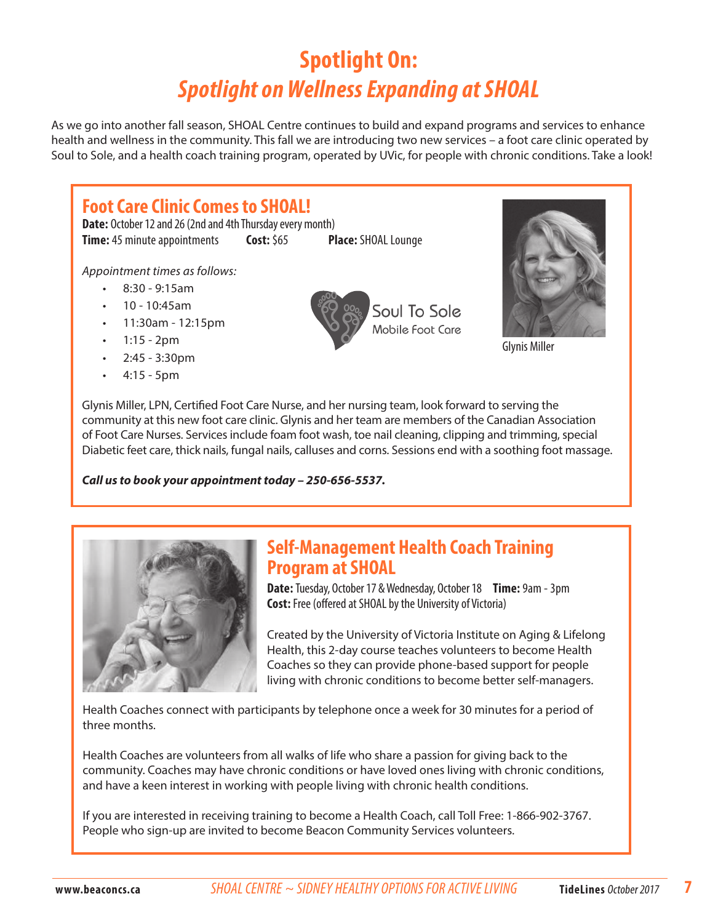# **Spotlight On:** *Spotlight on Wellness Expanding at SHOAL*

As we go into another fall season, SHOAL Centre continues to build and expand programs and services to enhance health and wellness in the community. This fall we are introducing two new services – a foot care clinic operated by Soul to Sole, and a health coach training program, operated by UVic, for people with chronic conditions. Take a look!

# **Foot Care Clinic Comes to SHOAL!**

**Date:** October 12 and 26 (2nd and 4th Thursday every month) **Time:** 45 minute appointments **Cost:** \$65 **Place:** SHOAL Lounge

Appointment times as follows:

- $8:30 9:15$ am
- • 10 10:45am
- • 11:30am 12:15pm
- $1:15 2pm$
- $2:45 3:30$ pm
- $4:15 5p$ m





Glynis Miller

Glynis Miller, LPN, Certified Foot Care Nurse, and her nursing team, look forward to serving the community at this new foot care clinic. Glynis and her team are members of the Canadian Association of Foot Care Nurses. Services include foam foot wash, toe nail cleaning, clipping and trimming, special Diabetic feet care, thick nails, fungal nails, calluses and corns. Sessions end with a soothing foot massage.

*Call us to book your appointment today – 250-656-5537.*



### **Self-Management Health Coach Training Program at SHOAL**

**Date:** Tuesday, October 17 & Wednesday, October 18 **Time:** 9am - 3pm **Cost:** Free (offered at SHOAL by the University of Victoria)

Created by the University of Victoria Institute on Aging & Lifelong Health, this 2-day course teaches volunteers to become Health Coaches so they can provide phone-based support for people living with chronic conditions to become better self-managers.

Health Coaches connect with participants by telephone once a week for 30 minutes for a period of three months.

Health Coaches are volunteers from all walks of life who share a passion for giving back to the community. Coaches may have chronic conditions or have loved ones living with chronic conditions, and have a keen interest in working with people living with chronic health conditions.

If you are interested in receiving training to become a Health Coach, call Toll Free: 1-866-902-3767. People who sign-up are invited to become Beacon Community Services volunteers.

**7**